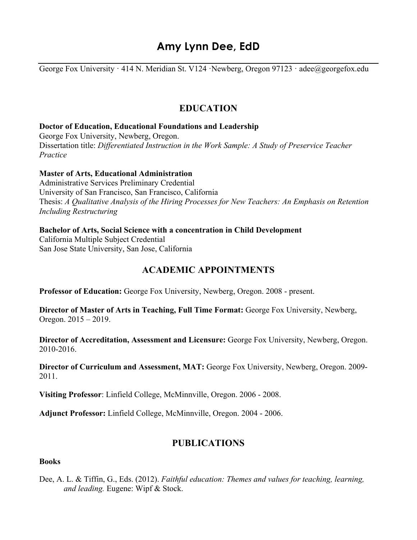# **Amy Lynn Dee, EdD**

George Fox University · 414 N. Meridian St. V124 · Newberg, Oregon 97123 · adee@georgefox.edu

## **EDUCATION**

#### **Doctor of Education, Educational Foundations and Leadership**

George Fox University, Newberg, Oregon. Dissertation title: *Differentiated Instruction in the Work Sample: A Study of Preservice Teacher Practice* 

#### **Master of Arts, Educational Administration**

Administrative Services Preliminary Credential University of San Francisco, San Francisco, California Thesis: *A Qualitative Analysis of the Hiring Processes for New Teachers: An Emphasis on Retention Including Restructuring*

#### **Bachelor of Arts, Social Science with a concentration in Child Development**

California Multiple Subject Credential San Jose State University, San Jose, California

## **ACADEMIC APPOINTMENTS**

**Professor of Education:** George Fox University, Newberg, Oregon. 2008 - present.

**Director of Master of Arts in Teaching, Full Time Format:** George Fox University, Newberg, Oregon. 2015 – 2019.

**Director of Accreditation, Assessment and Licensure:** George Fox University, Newberg, Oregon. 2010-2016.

**Director of Curriculum and Assessment, MAT:** George Fox University, Newberg, Oregon. 2009- 2011.

**Visiting Professor**: Linfield College, McMinnville, Oregon. 2006 - 2008.

**Adjunct Professor:** Linfield College, McMinnville, Oregon. 2004 - 2006.

## **PUBLICATIONS**

#### **Books**

Dee, A. L. & Tiffin, G., Eds. (2012). *Faithful education: Themes and values for teaching, learning, and leading.* Eugene: Wipf & Stock.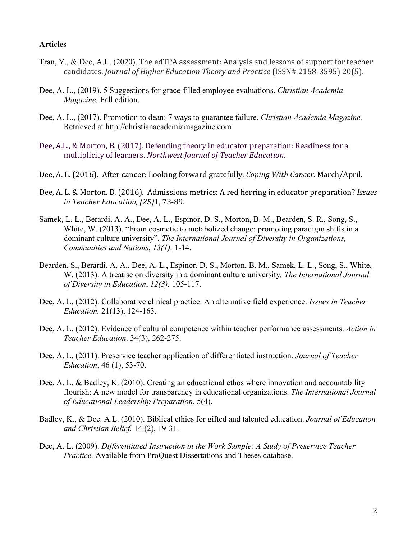#### **Articles**

- Tran, Y., & Dee, A.L. (2020). The edTPA assessment: Analysis and lessons of support for teacher candidates. *Journal of Higher Education Theory and Practice* (ISSN# 2158-3595) 20(5).
- Dee, A. L., (2019). 5 Suggestions for grace-filled employee evaluations. *Christian Academia Magazine.* Fall edition.
- Dee, A. L., (2017). Promotion to dean: 7 ways to guarantee failure. *Christian Academia Magazine.*  Retrieved at http://christianacademiamagazine.com
- Dee, A.L., & Morton, B. (2017). Defending theory in educator preparation: Readiness for a multiplicity of learners. *Northwest Journal of Teacher Education*.
- Dee, A. L. (2016). After cancer: Looking forward gratefully. *Coping With Cancer*. March/April.
- Dee, A. L. & Morton, B. (2016). Admissions metrics: A red herring in educator preparation? *Issues in Teacher Education, (25)*1, 73-89.
- Samek, L. L., Berardi, A. A., Dee, A. L., Espinor, D. S., Morton, B. M., Bearden, S. R., Song, S., White, W. (2013). "From cosmetic to metabolized change: promoting paradigm shifts in a dominant culture university", *The International Journal of Diversity in Organizations, Communities and Nations*, *13(1),* 1-14.
- Bearden, S., Berardi, A. A., Dee, A. L., Espinor, D. S., Morton, B. M., Samek, L. L., Song, S., White, W. (2013). A treatise on diversity in a dominant culture university*, The International Journal of Diversity in Education*, *12(3),* 105-117.
- Dee, A. L. (2012). Collaborative clinical practice: An alternative field experience. *Issues in Teacher Education.* 21(13), 124-163.
- Dee, A. L. (2012). Evidence of cultural competence within teacher performance assessments. *Action in Teacher Education*. 34(3), 262-275.
- Dee, A. L. (2011). Preservice teacher application of differentiated instruction. *Journal of Teacher Education*, 46 (1), 53-70.
- Dee, A. L. & Badley, K. (2010). Creating an educational ethos where innovation and accountability flourish: A new model for transparency in educational organizations. *The International Journal of Educational Leadership Preparation.* 5(4).
- Badley, K., & Dee. A.L. (2010). Biblical ethics for gifted and talented education. *Journal of Education and Christian Belief.* 14 (2), 19-31.
- Dee, A. L. (2009). *Differentiated Instruction in the Work Sample: A Study of Preservice Teacher Practice.* Available from ProQuest Dissertations and Theses database.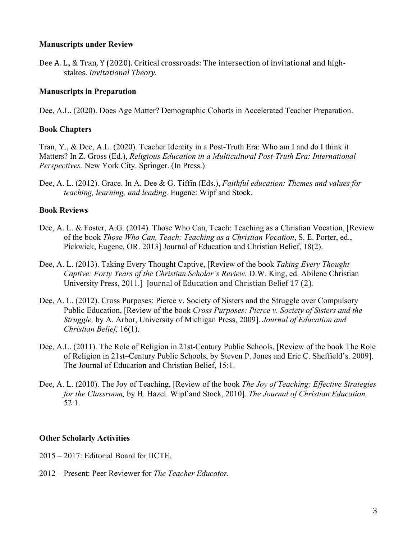#### **Manuscripts under Review**

Dee A. L., & Tran, Y (2020). Critical crossroads: The intersection of invitational and highstakes. *Invitational Theory.* 

### **Manuscripts in Preparation**

Dee, A.L. (2020). Does Age Matter? Demographic Cohorts in Accelerated Teacher Preparation.

### **Book Chapters**

Tran, Y., & Dee, A.L. (2020). Teacher Identity in a Post-Truth Era: Who am I and do I think it Matters? In Z. Gross (Ed.), *Religious Education in a Multicultural Post-Truth Era: International Perspectives.* New York City. Springer. (In Press.)

Dee, A. L. (2012). Grace. In A. Dee & G. Tiffin (Eds.), *Faithful education: Themes and values for teaching, learning, and leading.* Eugene: Wipf and Stock.

#### **Book Reviews**

- Dee, A. L. & Foster, A.G. (2014). Those Who Can, Teach: Teaching as a Christian Vocation, [Review of the book *Those Who Can, Teach: Teaching as a Christian Vocation*, S. E. Porter, ed., Pickwick, Eugene, OR. 2013] Journal of Education and Christian Belief, 18(2).
- Dee, A. L. (2013). Taking Every Thought Captive, [Review of the book *Taking Every Thought Captive: Forty Years of the Christian Scholar's Review.* D.W. King, ed. Abilene Christian University Press, 2011.] Journal of Education and Christian Belief 17 (2).
- Dee, A. L. (2012). Cross Purposes: Pierce v. Society of Sisters and the Struggle over Compulsory Public Education, [Review of the book *Cross Purposes: Pierce v. Society of Sisters and the Struggle,* by A. Arbor, University of Michigan Press, 2009]. *Journal of Education and Christian Belief,* 16(1).
- Dee, A.L. (2011). The Role of Religion in 21st-Century Public Schools, [Review of the book The Role of Religion in 21st–Century Public Schools, by Steven P. Jones and Eric C. Sheffield's. 2009]. The Journal of Education and Christian Belief, 15:1.
- Dee, A. L. (2010). The Joy of Teaching, [Review of the book *The Joy of Teaching: Effective Strategies for the Classroom,* by H. Hazel. Wipf and Stock, 2010]. *The Journal of Christian Education,*  52:1.

### **Other Scholarly Activities**

- 2015 2017: Editorial Board for IICTE.
- 2012 Present: Peer Reviewer for *The Teacher Educator.*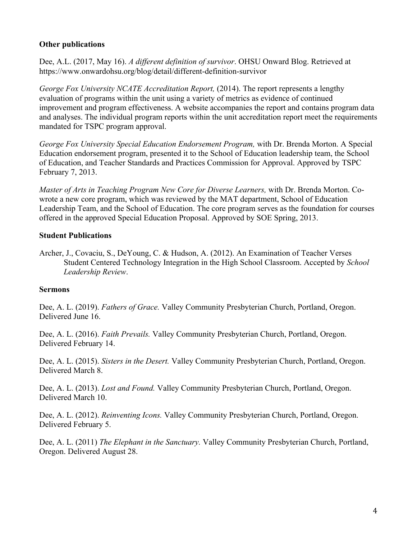### **Other publications**

Dee, A.L. (2017, May 16). *A different definition of survivor*. OHSU Onward Blog. Retrieved at https://www.onwardohsu.org/blog/detail/different-definition-survivor

*George Fox University NCATE Accreditation Report,* (2014). The report represents a lengthy evaluation of programs within the unit using a variety of metrics as evidence of continued improvement and program effectiveness. A website accompanies the report and contains program data and analyses. The individual program reports within the unit accreditation report meet the requirements mandated for TSPC program approval.

*George Fox University Special Education Endorsement Program,* with Dr. Brenda Morton. A Special Education endorsement program, presented it to the School of Education leadership team, the School of Education, and Teacher Standards and Practices Commission for Approval. Approved by TSPC February 7, 2013.

*Master of Arts in Teaching Program New Core for Diverse Learners,* with Dr. Brenda Morton. Cowrote a new core program, which was reviewed by the MAT department, School of Education Leadership Team, and the School of Education. The core program serves as the foundation for courses offered in the approved Special Education Proposal. Approved by SOE Spring, 2013.

### **Student Publications**

Archer, J., Covaciu, S., DeYoung, C. & Hudson, A. (2012). An Examination of Teacher Verses Student Centered Technology Integration in the High School Classroom. Accepted by *School Leadership Review*.

### **Sermons**

Dee, A. L. (2019). *Fathers of Grace.* Valley Community Presbyterian Church, Portland, Oregon. Delivered June 16.

Dee, A. L. (2016). *Faith Prevails.* Valley Community Presbyterian Church, Portland, Oregon. Delivered February 14.

Dee, A. L. (2015). *Sisters in the Desert.* Valley Community Presbyterian Church, Portland, Oregon. Delivered March 8.

Dee, A. L. (2013). *Lost and Found.* Valley Community Presbyterian Church, Portland, Oregon. Delivered March 10.

Dee, A. L. (2012). *Reinventing Icons.* Valley Community Presbyterian Church, Portland, Oregon. Delivered February 5.

Dee, A. L. (2011) *The Elephant in the Sanctuary.* Valley Community Presbyterian Church, Portland, Oregon. Delivered August 28.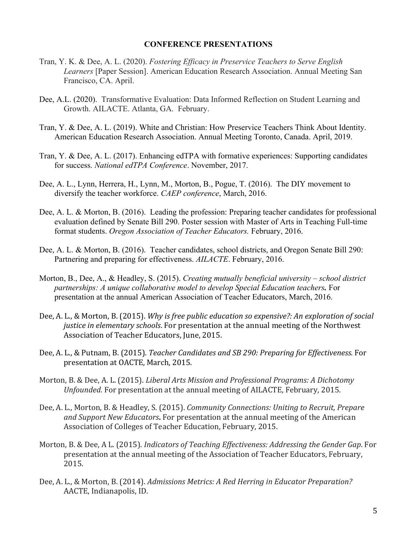#### **CONFERENCE PRESENTATIONS**

- Tran, Y. K. & Dee, A. L. (2020). *Fostering Efficacy in Preservice Teachers to Serve English Learners* [Paper Session]. American Education Research Association. Annual Meeting San Francisco, CA. April.
- Dee, A.L. (2020). Transformative Evaluation: Data Informed Reflection on Student Learning and Growth. AILACTE. Atlanta, GA. February.
- Tran, Y. & Dee, A. L. (2019). White and Christian: How Preservice Teachers Think About Identity. American Education Research Association. Annual Meeting Toronto, Canada. April, 2019.
- Tran, Y. & Dee, A. L. (2017). Enhancing edTPA with formative experiences: Supporting candidates for success. *National edTPA Conference*. November, 2017.
- Dee, A. L., Lynn, Herrera, H., Lynn, M., Morton, B., Pogue, T. (2016). The DIY movement to diversify the teacher workforce. *CAEP conference*, March, 2016.
- Dee, A. L. & Morton, B. (2016). Leading the profession: Preparing teacher candidates for professional evaluation defined by Senate Bill 290. Poster session with Master of Arts in Teaching Full-time format students. *Oregon Association of Teacher Educators.* February, 2016.
- Dee, A. L. & Morton, B. (2016). Teacher candidates, school districts, and Oregon Senate Bill 290: Partnering and preparing for effectiveness. *AILACTE*. February, 2016.
- Morton, B., Dee, A., & Headley, S. (2015). *Creating mutually beneficial university – school district partnerships: A unique collaborative model to develop Special Education teachers.* For presentation at the annual American Association of Teacher Educators, March, 2016.
- Dee, A. L., & Morton, B. (2015). *Why is free public education so expensive?: An exploration of social justice in elementary schools*. For presentation at the annual meeting of the Northwest Association of Teacher Educators, June, 2015.
- Dee, A. L., & Putnam, B. (2015). *Teacher Candidates and SB 290: Preparing for Effectiveness.* For presentation at OACTE, March, 2015.
- Morton, B. & Dee, A. L. (2015). *Liberal Arts Mission and Professional Programs: A Dichotomy Unfounded.* For presentation at the annual meeting of AILACTE, February, 2015.
- Dee, A. L., Morton, B. & Headley, S. (2015). *Community Connections: Uniting to Recruit, Prepare* and Support New Educators. For presentation at the annual meeting of the American Association of Colleges of Teacher Education, February, 2015.
- Morton, B. & Dee, A L. (2015). *Indicators of Teaching Effectiveness: Addressing the Gender Gap*. For presentation at the annual meeting of the Association of Teacher Educators, February, 2015.
- Dee, A. L., & Morton, B. (2014). *Admissions Metrics: A Red Herring in Educator Preparation?* AACTE, Indianapolis, ID.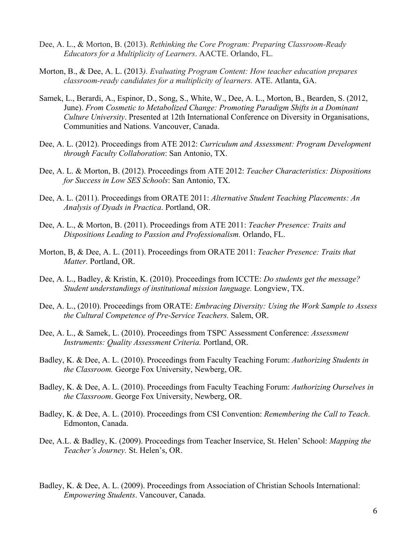- Dee, A. L., & Morton, B. (2013). *Rethinking the Core Program: Preparing Classroom-Ready Educators for a Multiplicity of Learners*. AACTE. Orlando, FL.
- Morton, B., & Dee, A. L. (2013*). Evaluating Program Content: How teacher education prepares classroom-ready candidates for a multiplicity of learners.* ATE. Atlanta, GA.
- Samek, L., Berardi, A., Espinor, D., Song, S., White, W., Dee, A. L., Morton, B., Bearden, S. (2012, June). *From Cosmetic to Metabolized Change: Promoting Paradigm Shifts in a Dominant Culture University*. Presented at 12th International Conference on Diversity in Organisations, Communities and Nations. Vancouver, Canada.
- Dee, A. L. (2012). Proceedings from ATE 2012: *Curriculum and Assessment: Program Development through Faculty Collaboration*: San Antonio, TX.
- Dee, A. L. & Morton, B. (2012). Proceedings from ATE 2012: *Teacher Characteristics: Dispositions for Success in Low SES Schools*: San Antonio, TX.
- Dee, A. L. (2011). Proceedings from ORATE 2011: *Alternative Student Teaching Placements: An Analysis of Dyads in Practica*. Portland, OR.
- Dee, A. L., & Morton, B. (2011). Proceedings from ATE 2011: *Teacher Presence: Traits and Dispositions Leading to Passion and Professionalism.* Orlando, FL.
- Morton, B, & Dee, A. L. (2011). Proceedings from ORATE 2011: *Teacher Presence: Traits that Matter.* Portland, OR.
- Dee, A. L., Badley, & Kristin, K. (2010). Proceedings from ICCTE: *Do students get the message? Student understandings of institutional mission language.* Longview, TX.
- Dee, A. L., (2010). Proceedings from ORATE: *Embracing Diversity: Using the Work Sample to Assess the Cultural Competence of Pre-Service Teachers.* Salem, OR.
- Dee, A. L., & Samek, L. (2010). Proceedings from TSPC Assessment Conference: *Assessment Instruments: Quality Assessment Criteria.* Portland, OR.
- Badley, K. & Dee, A. L. (2010). Proceedings from Faculty Teaching Forum: *Authorizing Students in the Classroom.* George Fox University, Newberg, OR.
- Badley, K. & Dee, A. L. (2010). Proceedings from Faculty Teaching Forum: *Authorizing Ourselves in the Classroom*. George Fox University, Newberg, OR.
- Badley, K. & Dee, A. L. (2010). Proceedings from CSI Convention: *Remembering the Call to Teach*. Edmonton, Canada.
- Dee, A.L. & Badley, K. (2009). Proceedings from Teacher Inservice, St. Helen' School: *Mapping the Teacher's Journey.* St. Helen's, OR.
- Badley, K. & Dee, A. L. (2009). Proceedings from Association of Christian Schools International: *Empowering Students*. Vancouver, Canada.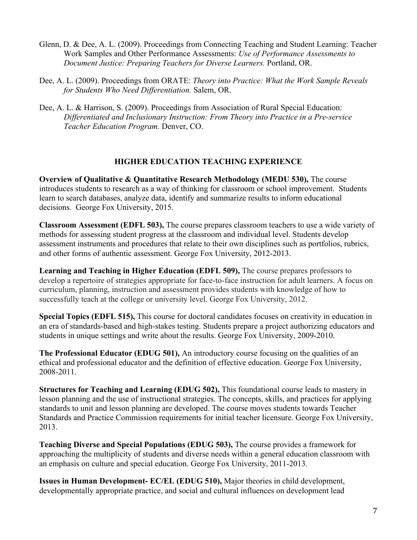- Glenn, D. & Dee, A. L. (2009). Proceedings from Connecting Teaching and Student Learning: Teacher Work Samples and Other Performance Assessments: *Use of Performance Assessments to Document Justice: Preparing Teachers for Diverse Learners.* Portland, OR.
- Dee, A. L. (2009). Proceedings from ORATE: *Theory into Practice: What the Work Sample Reveals for Students Who Need Differentiation.* Salem, OR.
- Dee, A. L. & Harrison, S. (2009). Proceedings from Association of Rural Special Education: *Differentiated and Inclusionary Instruction: From Theory into Practice in a Pre-service Teacher Education Program.* Denver, CO.

### **HIGHER EDUCATION TEACHING EXPERIENCE**

**Overview of Qualitative & Quantitative Research Methodology (MEDU 530),** The course introduces students to research as a way of thinking for classroom or school improvement. Students learn to search databases, analyze data, identify and summarize results to inform educational decisions. George Fox University, 2015.

**Classroom Assessment (EDFL 503),** The course prepares classroom teachers to use a wide variety of methods for assessing student progress at the classroom and individual level. Students develop assessment instruments and procedures that relate to their own disciplines such as portfolios, rubrics, and other forms of authentic assessment. George Fox University, 2012-2013.

**Learning and Teaching in Higher Education (EDFL 509),** The course prepares professors to develop a repertoire of strategies appropriate for face-to-face instruction for adult learners. A focus on curriculum, planning, instruction and assessment provides students with knowledge of how to successfully teach at the college or university level. George Fox University, 2012.

**Special Topics (EDFL 515),** This course for doctoral candidates focuses on creativity in education in an era of standards-based and high-stakes testing. Students prepare a project authorizing educators and students in unique settings and write about the results. George Fox University, 2009-2010.

**The Professional Educator (EDUG 501),** An introductory course focusing on the qualities of an ethical and professional educator and the definition of effective education. George Fox University, 2008-2011.

**Structures for Teaching and Learning (EDUG 502),** This foundational course leads to mastery in lesson planning and the use of instructional strategies. The concepts, skills, and practices for applying standards to unit and lesson planning are developed. The course moves students towards Teacher Standards and Practice Commission requirements for initial teacher licensure. George Fox University, 2013.

**Teaching Diverse and Special Populations (EDUG 503),** The course provides a framework for approaching the multiplicity of students and diverse needs within a general education classroom with an emphasis on culture and special education. George Fox University, 2011-2013.

**Issues in Human Development- EC/EL (EDUG 510),** Major theories in child development, developmentally appropriate practice, and social and cultural influences on development lead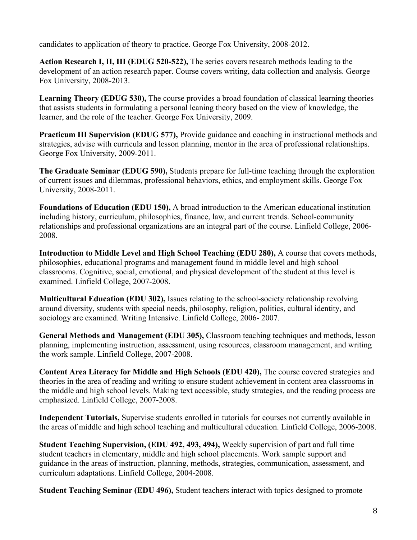candidates to application of theory to practice. George Fox University, 2008-2012.

**Action Research I, II, III (EDUG 520-522),** The series covers research methods leading to the development of an action research paper. Course covers writing, data collection and analysis. George Fox University, 2008-2013.

Learning Theory (EDUG 530), The course provides a broad foundation of classical learning theories that assists students in formulating a personal leaning theory based on the view of knowledge, the learner, and the role of the teacher. George Fox University, 2009.

**Practicum III Supervision (EDUG 577), Provide guidance and coaching in instructional methods and** strategies, advise with curricula and lesson planning, mentor in the area of professional relationships. George Fox University, 2009-2011.

**The Graduate Seminar (EDUG 590),** Students prepare for full-time teaching through the exploration of current issues and dilemmas, professional behaviors, ethics, and employment skills. George Fox University, 2008-2011.

**Foundations of Education (EDU 150),** A broad introduction to the American educational institution including history, curriculum, philosophies, finance, law, and current trends. School-community relationships and professional organizations are an integral part of the course. Linfield College, 2006- 2008.

**Introduction to Middle Level and High School Teaching (EDU 280),** A course that covers methods, philosophies, educational programs and management found in middle level and high school classrooms. Cognitive, social, emotional, and physical development of the student at this level is examined. Linfield College, 2007-2008.

**Multicultural Education (EDU 302),** Issues relating to the school-society relationship revolving around diversity, students with special needs, philosophy, religion, politics, cultural identity, and sociology are examined. Writing Intensive. Linfield College, 2006- 2007.

**General Methods and Management (EDU 305),** Classroom teaching techniques and methods, lesson planning, implementing instruction, assessment, using resources, classroom management, and writing the work sample. Linfield College, 2007-2008.

**Content Area Literacy for Middle and High Schools (EDU 420),** The course covered strategies and theories in the area of reading and writing to ensure student achievement in content area classrooms in the middle and high school levels. Making text accessible, study strategies, and the reading process are emphasized. Linfield College, 2007-2008.

**Independent Tutorials,** Supervise students enrolled in tutorials for courses not currently available in the areas of middle and high school teaching and multicultural education. Linfield College, 2006-2008.

**Student Teaching Supervision, (EDU 492, 493, 494),** Weekly supervision of part and full time student teachers in elementary, middle and high school placements. Work sample support and guidance in the areas of instruction, planning, methods, strategies, communication, assessment, and curriculum adaptations. Linfield College, 2004-2008.

**Student Teaching Seminar (EDU 496),** Student teachers interact with topics designed to promote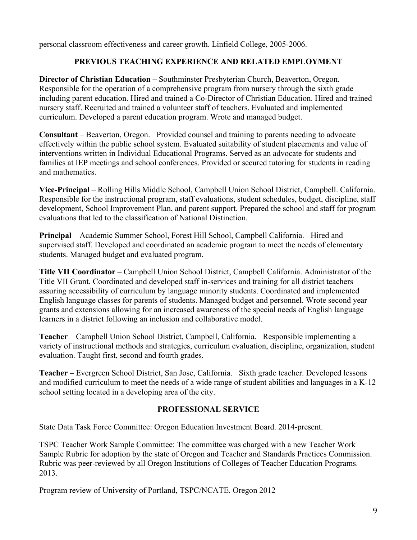personal classroom effectiveness and career growth. Linfield College, 2005-2006.

## **PREVIOUS TEACHING EXPERIENCE AND RELATED EMPLOYMENT**

**Director of Christian Education** – Southminster Presbyterian Church, Beaverton, Oregon. Responsible for the operation of a comprehensive program from nursery through the sixth grade including parent education. Hired and trained a Co-Director of Christian Education. Hired and trained nursery staff. Recruited and trained a volunteer staff of teachers. Evaluated and implemented curriculum. Developed a parent education program. Wrote and managed budget.

**Consultant** – Beaverton, Oregon. Provided counsel and training to parents needing to advocate effectively within the public school system. Evaluated suitability of student placements and value of interventions written in Individual Educational Programs. Served as an advocate for students and families at IEP meetings and school conferences. Provided or secured tutoring for students in reading and mathematics.

**Vice-Principal** – Rolling Hills Middle School, Campbell Union School District, Campbell. California. Responsible for the instructional program, staff evaluations, student schedules, budget, discipline, staff development, School Improvement Plan, and parent support. Prepared the school and staff for program evaluations that led to the classification of National Distinction.

**Principal** – Academic Summer School, Forest Hill School, Campbell California. Hired and supervised staff. Developed and coordinated an academic program to meet the needs of elementary students. Managed budget and evaluated program.

**Title VII Coordinator** – Campbell Union School District, Campbell California. Administrator of the Title VII Grant. Coordinated and developed staff in-services and training for all district teachers assuring accessibility of curriculum by language minority students. Coordinated and implemented English language classes for parents of students. Managed budget and personnel. Wrote second year grants and extensions allowing for an increased awareness of the special needs of English language learners in a district following an inclusion and collaborative model.

**Teacher** – Campbell Union School District, Campbell, California. Responsible implementing a variety of instructional methods and strategies, curriculum evaluation, discipline, organization, student evaluation. Taught first, second and fourth grades.

**Teacher** – Evergreen School District, San Jose, California. Sixth grade teacher. Developed lessons and modified curriculum to meet the needs of a wide range of student abilities and languages in a K-12 school setting located in a developing area of the city.

## **PROFESSIONAL SERVICE**

State Data Task Force Committee: Oregon Education Investment Board. 2014-present.

TSPC Teacher Work Sample Committee: The committee was charged with a new Teacher Work Sample Rubric for adoption by the state of Oregon and Teacher and Standards Practices Commission. Rubric was peer-reviewed by all Oregon Institutions of Colleges of Teacher Education Programs. 2013.

Program review of University of Portland, TSPC/NCATE. Oregon 2012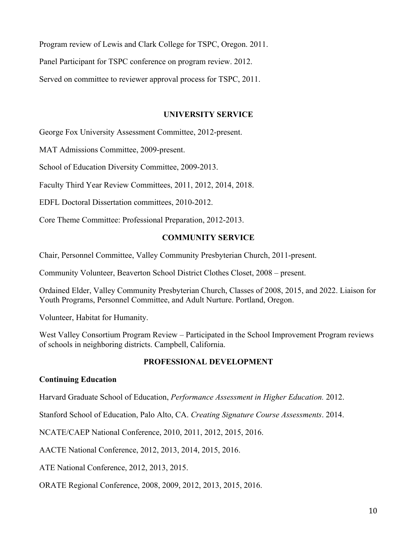Program review of Lewis and Clark College for TSPC, Oregon. 2011.

Panel Participant for TSPC conference on program review. 2012.

Served on committee to reviewer approval process for TSPC, 2011.

## **UNIVERSITY SERVICE**

George Fox University Assessment Committee, 2012-present.

MAT Admissions Committee, 2009-present.

School of Education Diversity Committee, 2009-2013.

Faculty Third Year Review Committees, 2011, 2012, 2014, 2018.

EDFL Doctoral Dissertation committees, 2010-2012.

Core Theme Committee: Professional Preparation, 2012-2013.

## **COMMUNITY SERVICE**

Chair, Personnel Committee, Valley Community Presbyterian Church, 2011-present.

Community Volunteer, Beaverton School District Clothes Closet, 2008 – present.

Ordained Elder, Valley Community Presbyterian Church, Classes of 2008, 2015, and 2022. Liaison for Youth Programs, Personnel Committee, and Adult Nurture. Portland, Oregon.

Volunteer, Habitat for Humanity.

West Valley Consortium Program Review – Participated in the School Improvement Program reviews of schools in neighboring districts. Campbell, California.

## **PROFESSIONAL DEVELOPMENT**

## **Continuing Education**

Harvard Graduate School of Education, *Performance Assessment in Higher Education.* 2012.

Stanford School of Education, Palo Alto, CA. *Creating Signature Course Assessments*. 2014.

NCATE/CAEP National Conference, 2010, 2011, 2012, 2015, 2016.

AACTE National Conference, 2012, 2013, 2014, 2015, 2016.

ATE National Conference, 2012, 2013, 2015.

ORATE Regional Conference, 2008, 2009, 2012, 2013, 2015, 2016.